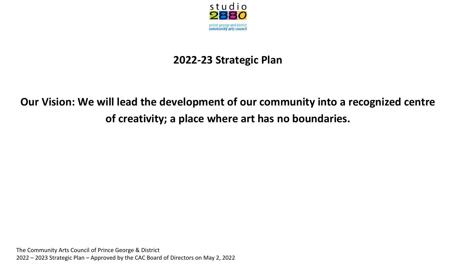

## **2022-23 Strategic Plan**

# **Our Vision: We will lead the development of our community into a recognized centre of creativity; a place where art has no boundaries.**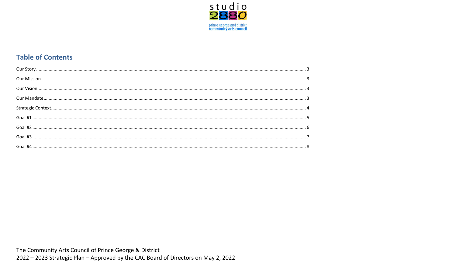

## **Table of Contents**

The Community Arts Council of Prince George & District

2022 - 2023 Strategic Plan - Approved by the CAC Board of Directors on May 2, 2022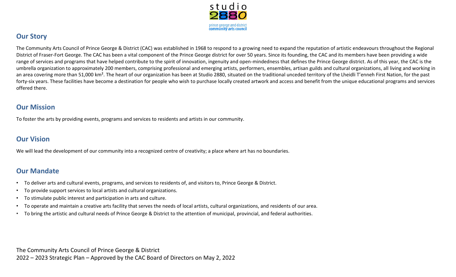

## <span id="page-2-0"></span>**Our Story**

The Community Arts Council of Prince George & District (CAC) was established in 1968 to respond to a growing need to expand the reputation of artistic endeavours throughout the Regional District of Fraser-Fort George. The CAC has been a vital component of the Prince George district for over 50 years. Since its founding, the CAC and its members have been providing a wide range of services and programs that have helped contribute to the spirit of innovation, ingenuity and open-mindedness that defines the Prince George district. As of this year, the CAC is the umbrella organization to approximately 200 members, comprising professional and emerging artists, performers, ensembles, artisan guilds and cultural organizations, all living and working in an area covering more than 51,000 km<sup>2</sup>. The heart of our organization has been at Studio 2880, situated on the traditional unceded territory of the Lheidli T'enneh First Nation, for the past forty-six years. These facilities have become a destination for people who wish to purchase locally created artwork and access and benefit from the unique educational programs and services offered there.

### <span id="page-2-1"></span>**Our Mission**

To foster the arts by providing events, programs and services to residents and artists in our community.

### <span id="page-2-2"></span>**Our Vision**

We will lead the development of our community into a recognized centre of creativity; a place where art has no boundaries.

#### <span id="page-2-3"></span>**Our Mandate**

- To deliver arts and cultural events, programs, and services to residents of, and visitors to, Prince George & District.
- To provide support services to local artists and cultural organizations.
- To stimulate public interest and participation in arts and culture.
- To operate and maintain a creative arts facility that serves the needs of local artists, cultural organizations, and residents of our area.
- To bring the artistic and cultural needs of Prince George & District to the attention of municipal, provincial, and federal authorities.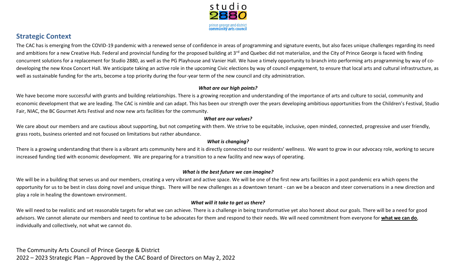

## <span id="page-3-0"></span>**Strategic Context**

The CAC has is emerging from the COVID-19 pandemic with a renewed sense of confidence in areas of programming and signature events, but also faces unique challenges regarding its need and ambitions for a new Creative Hub. Federal and provincial funding for the proposed building at 3<sup>rd</sup> and Quebec did not materialize, and the City of Prince George is faced with finding concurrent solutions for a replacement for Studio 2880, as well as the PG Playhouse and Vanier Hall. We have a timely opportunity to branch into performing arts programming by way of codeveloping the new Knox Concert Hall. We anticipate taking an active role in the upcoming Civic elections by way of council engagement, to ensure that local arts and cultural infrastructure, as well as sustainable funding for the arts, become a top priority during the four-year term of the new council and city administration.

#### *What are our high points?*

We have become more successful with grants and building relationships. There is a growing reception and understanding of the importance of arts and culture to social, community and economic development that we are leading. The CAC is nimble and can adapt. This has been our strength over the years developing ambitious opportunities from the Children's Festival, Studio Fair, NIAC, the BC Gourmet Arts Festival and now new arts facilities for the community.

#### *What are our values?*

We care about our members and are cautious about supporting, but not competing with them. We strive to be equitable, inclusive, open minded, connected, progressive and user friendly, grass roots, business oriented and not focused on limitations but rather abundance.

#### *What is changing?*

There is a growing understanding that there is a vibrant arts community here and it is directly connected to our residents' wellness. We want to grow in our advocacy role, working to secure increased funding tied with economic development. We are preparing for a transition to a new facility and new ways of operating.

#### *What is the best future we can imagine?*

We will be in a building that serves us and our members, creating a very vibrant and active space. We will be one of the first new arts facilities in a post pandemic era which opens the opportunity for us to be best in class doing novel and unique things. There will be new challenges as a downtown tenant - can we be a beacon and steer conversations in a new direction and play a role in healing the downtown environment.

#### *What will it take to get us there?*

We will need to be realistic and set reasonable targets for what we can achieve. There is a challenge in being transformative yet also honest about our goals. There will be a need for good advisors. We cannot alienate our members and need to continue to be advocates for them and respond to their needs. We will need commitment from everyone for **what we can do**, individually and collectively, not what we cannot do.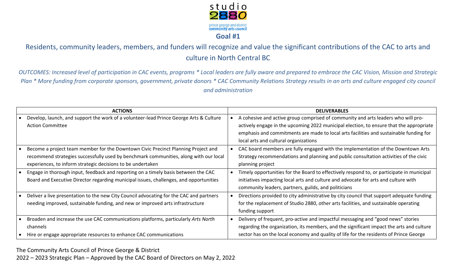

<span id="page-4-0"></span>Residents, community leaders, members, and funders will recognize and value the significant contributions of the CAC to arts and culture in North Central BC

*OUTCOMES: Increased level of participation in CAC events, programs \* Local leaders are fully aware and prepared to embrace the CAC Vision, Mission and Strategic Plan \* More funding from corporate sponsors, government, private donors \* CAC Community Relations Strategy results in an arts and culture engaged city council and administration*

| <b>ACTIONS</b> |                                                                                         | <b>DELIVERABLES</b>                                                                       |  |
|----------------|-----------------------------------------------------------------------------------------|-------------------------------------------------------------------------------------------|--|
|                | Develop, launch, and support the work of a volunteer-lead Prince George Arts & Culture  | A cohesive and active group comprised of community and arts leaders who will pro-         |  |
|                | <b>Action Committee</b>                                                                 | actively engage in the upcoming 2022 municipal election, to ensure that the appropriate   |  |
|                |                                                                                         | emphasis and commitments are made to local arts facilities and sustainable funding for    |  |
|                |                                                                                         | local arts and cultural organizations                                                     |  |
|                | Become a project team member for the Downtown Civic Precinct Planning Project and       | CAC board members are fully engaged with the implementation of the Downtown Arts          |  |
|                | recommend strategies successfully used by benchmark communities, along with our local   | Strategy recommendations and planning and public consultation activities of the civic     |  |
|                | experiences, to inform strategic decisions to be undertaken                             | planning project                                                                          |  |
|                | Engage in thorough input, feedback and reporting on a timely basis between the CAC      | Timely opportunities for the Board to effectively respond to, or participate in municipal |  |
|                | Board and Executive Director regarding municipal issues, challenges, and opportunities  | initiatives impacting local arts and culture and advocate for arts and culture with       |  |
|                |                                                                                         | community leaders, partners, guilds, and politicians                                      |  |
|                | Deliver a live presentation to the new City Council advocating for the CAC and partners | Directions provided to city administrative by city council that support adequate funding  |  |
|                | needing improved, sustainable funding, and new or improved arts infrastructure          | for the replacement of Studio 2880, other arts facilities, and sustainable operating      |  |
|                |                                                                                         | funding support                                                                           |  |
|                | Broaden and increase the use CAC communications platforms, particularly Arts North      | Delivery of frequent, pro-active and impactful messaging and "good news" stories          |  |
|                | channels                                                                                | regarding the organization, its members, and the significant impact the arts and culture  |  |
|                | Hire or engage appropriate resources to enhance CAC communications                      | sector has on the local economy and quality of life for the residents of Prince George    |  |

The Community Arts Council of Prince George & District

2022 – 2023 Strategic Plan – Approved by the CAC Board of Directors on May 2, 2022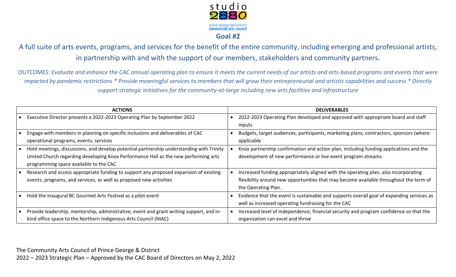

<span id="page-5-0"></span>A full suite of arts events, programs, and services for the benefit of the entire community, including emerging and professional artists, in partnership with and with the support of our members, stakeholders and community partners.

*OUTCOMES: Evaluate and enhance the CAC annual operating plan to ensure it meets the current needs of our artists and arts-based programs and events that were impacted by pandemic restrictions \* Provide meaningful services to members that will grow their entrepreneurial and artistic capabilities and success \* Directly support strategic initiatives for the community-at-large including new arts facilities and infrastructure*

| <b>ACTIONS</b>                                                                                                                                                                                                            | <b>DELIVERABLES</b>                                                                                                                                                                                 |
|---------------------------------------------------------------------------------------------------------------------------------------------------------------------------------------------------------------------------|-----------------------------------------------------------------------------------------------------------------------------------------------------------------------------------------------------|
| Executive Director presents a 2022-2023 Operating Plan by September 2022                                                                                                                                                  | 2022-2023 Operating Plan developed and approved with appropriate board and staff<br>inputs                                                                                                          |
| Engage with members in planning on specific inclusions and deliverables of CAC<br>operational programs, events, services                                                                                                  | Budgets, target audiences, participants, marketing plans, contractors, sponsors (where<br>applicable                                                                                                |
| Hold meetings, discussions, and develop potential partnership understanding with Trinity<br>United Church regarding developing Knox Performance Hall as the new performing arts<br>programming space available to the CAC | Knox partnership confirmation and action plan, including funding applications and the<br>development of new performance or live event program streams                                               |
| Research and access appropriate funding to support any proposed expansion of existing<br>events, programs, and services, as well as proposed new activities                                                               | Increased funding appropriately aligned with the operating plan, also incorporating<br>flexibility around new opportunities that may become available throughout the term of<br>the Operating Plan. |
| Hold the inaugural BC Gourmet Arts Festival as a pilot event                                                                                                                                                              | Evidence that the event is sustainable and supports overall goal of expanding services as<br>well as increased operating fundraising for the CAC                                                    |
| Provide leadership, mentorship, administrative, event and grant writing support, and in-<br>kind office space to the Northern Indigenous Arts Council (NIAC)                                                              | Increased level of independence, financial security and program confidence so that the<br>organization can excel and thrive                                                                         |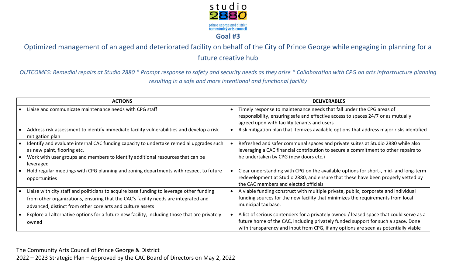

<span id="page-6-0"></span>Optimized management of an aged and deteriorated facility on behalf of the City of Prince George while engaging in planning for a future creative hub

*OUTCOMES: Remedial repairs at Studio 2880 \* Prompt response to safety and security needs as they arise \* Collaboration with CPG on arts infrastructure planning resulting in a safe and more intentional and functional facility*

| <b>ACTIONS</b>                                                                                                                                                                                                                                | <b>DELIVERABLES</b>                                                                                                                                                                                                                                                 |
|-----------------------------------------------------------------------------------------------------------------------------------------------------------------------------------------------------------------------------------------------|---------------------------------------------------------------------------------------------------------------------------------------------------------------------------------------------------------------------------------------------------------------------|
| Liaise and communicate maintenance needs with CPG staff                                                                                                                                                                                       | Timely response to maintenance needs that fall under the CPG areas of<br>responsibility, ensuring safe and effective access to spaces 24/7 or as mutually<br>agreed upon with facility tenants and users                                                            |
| Address risk assessment to identify immediate facility vulnerabilities and develop a risk<br>mitigation plan                                                                                                                                  | Risk mitigation plan that itemizes available options that address major risks identified                                                                                                                                                                            |
| Identify and evaluate internal CAC funding capacity to undertake remedial upgrades such<br>as new paint, flooring etc.<br>Work with user groups and members to identify additional resources that can be<br>leveraged                         | Refreshed and safer communal spaces and private suites at Studio 2880 while also<br>leveraging a CAC financial contribution to secure a commitment to other repairs to<br>be undertaken by CPG (new doors etc.)                                                     |
| Hold regular meetings with CPG planning and zoning departments with respect to future<br>opportunities                                                                                                                                        | Clear understanding with CPG on the available options for short-, mid- and long-term<br>redevelopment at Studio 2880, and ensure that these have been properly vetted by<br>the CAC members and elected officials                                                   |
| Liaise with city staff and politicians to acquire base funding to leverage other funding<br>from other organizations, ensuring that the CAC's facility needs are integrated and<br>advanced, distinct from other core arts and culture assets | A viable funding construct with multiple private, public, corporate and individual<br>funding sources for the new facility that minimizes the requirements from local<br>municipal tax base.                                                                        |
| Explore all alternative options for a future new facility, including those that are privately<br>owned                                                                                                                                        | A list of serious contenders for a privately owned / leased space that could serve as a<br>future home of the CAC, including privately funded support for such a space. Done<br>with transparency and input from CPG, if any options are seen as potentially viable |